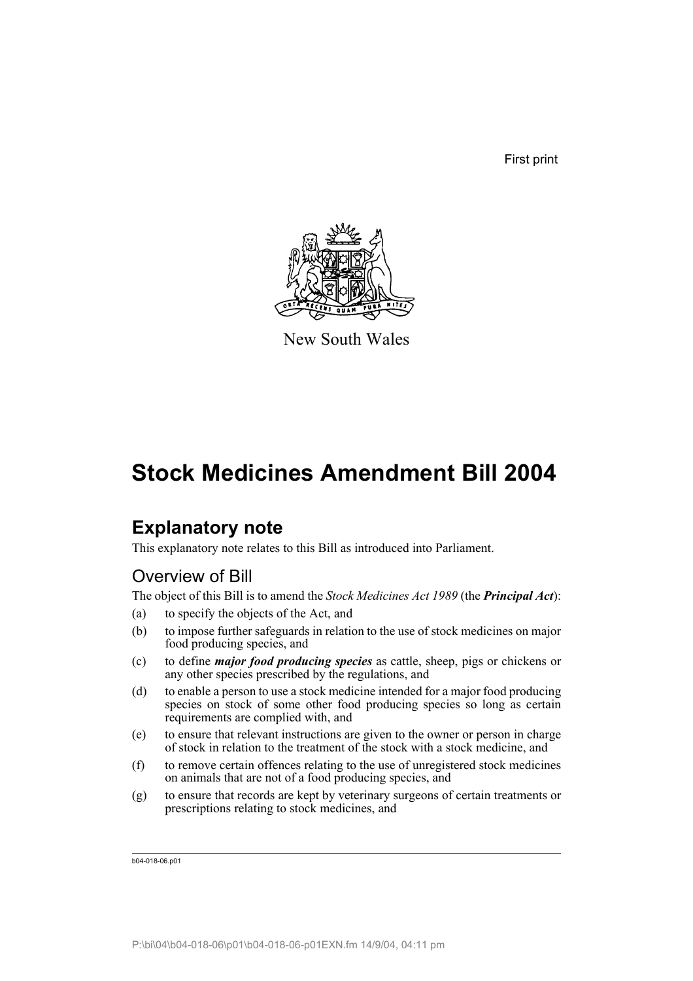First print



New South Wales

# **Stock Medicines Amendment Bill 2004**

# **Explanatory note**

This explanatory note relates to this Bill as introduced into Parliament.

# Overview of Bill

The object of this Bill is to amend the *Stock Medicines Act 1989* (the *Principal Act*):

- (a) to specify the objects of the Act, and
- (b) to impose further safeguards in relation to the use of stock medicines on major food producing species, and
- (c) to define *major food producing species* as cattle, sheep, pigs or chickens or any other species prescribed by the regulations, and
- (d) to enable a person to use a stock medicine intended for a major food producing species on stock of some other food producing species so long as certain requirements are complied with, and
- (e) to ensure that relevant instructions are given to the owner or person in charge of stock in relation to the treatment of the stock with a stock medicine, and
- (f) to remove certain offences relating to the use of unregistered stock medicines on animals that are not of a food producing species, and
- (g) to ensure that records are kept by veterinary surgeons of certain treatments or prescriptions relating to stock medicines, and

b04-018-06.p01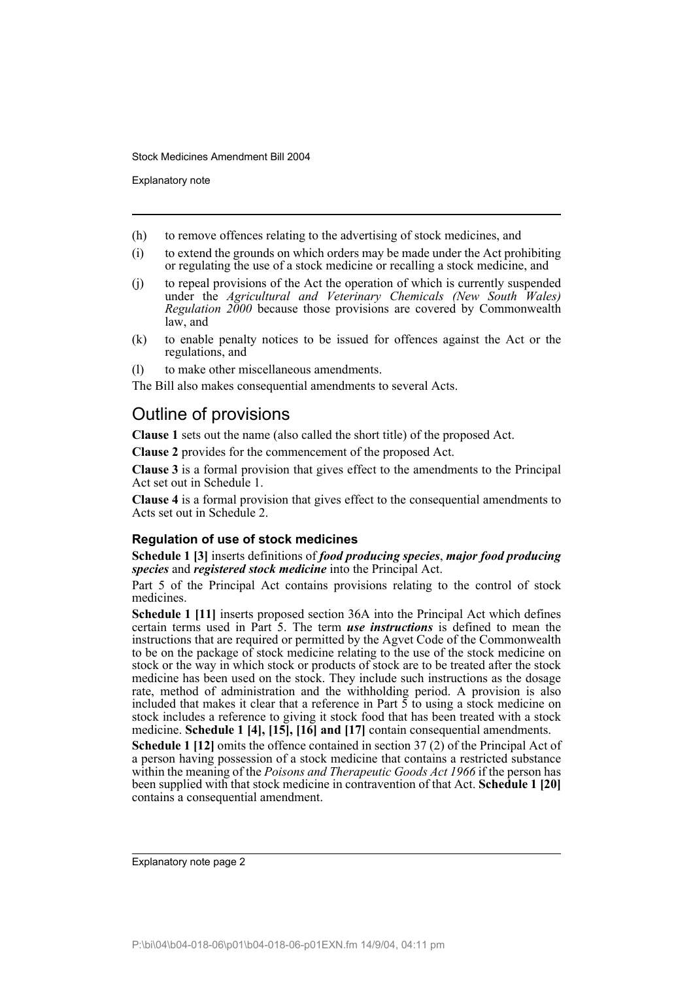Explanatory note

- (h) to remove offences relating to the advertising of stock medicines, and
- (i) to extend the grounds on which orders may be made under the Act prohibiting or regulating the use of a stock medicine or recalling a stock medicine, and
- (j) to repeal provisions of the Act the operation of which is currently suspended under the *Agricultural and Veterinary Chemicals (New South Wales) Regulation 2000* because those provisions are covered by Commonwealth law, and
- (k) to enable penalty notices to be issued for offences against the Act or the regulations, and
- (l) to make other miscellaneous amendments.

The Bill also makes consequential amendments to several Acts.

# Outline of provisions

**Clause 1** sets out the name (also called the short title) of the proposed Act.

**Clause 2** provides for the commencement of the proposed Act.

**Clause 3** is a formal provision that gives effect to the amendments to the Principal Act set out in Schedule 1.

**Clause 4** is a formal provision that gives effect to the consequential amendments to Acts set out in Schedule 2.

# **Regulation of use of stock medicines**

**Schedule 1 [3]** inserts definitions of *food producing species*, *major food producing species* and *registered stock medicine* into the Principal Act.

Part 5 of the Principal Act contains provisions relating to the control of stock medicines.

**Schedule 1 [11]** inserts proposed section 36A into the Principal Act which defines certain terms used in Part 5. The term *use instructions* is defined to mean the instructions that are required or permitted by the Agvet Code of the Commonwealth to be on the package of stock medicine relating to the use of the stock medicine on stock or the way in which stock or products of stock are to be treated after the stock medicine has been used on the stock. They include such instructions as the dosage rate, method of administration and the withholding period. A provision is also included that makes it clear that a reference in Part  $\bar{5}$  to using a stock medicine on stock includes a reference to giving it stock food that has been treated with a stock medicine. **Schedule 1 [4], [15], [16] and [17]** contain consequential amendments.

**Schedule 1 [12]** omits the offence contained in section 37 (2) of the Principal Act of a person having possession of a stock medicine that contains a restricted substance within the meaning of the *Poisons and Therapeutic Goods Act 1966* if the person has been supplied with that stock medicine in contravention of that Act. **Schedule 1 [20]** contains a consequential amendment.

Explanatory note page 2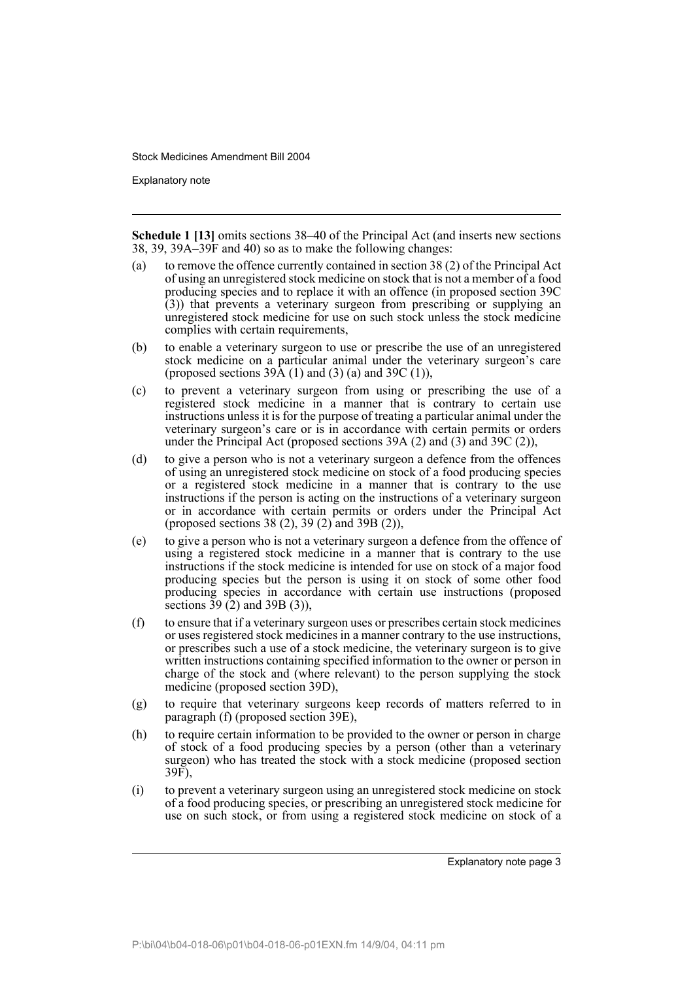Explanatory note

**Schedule 1 [13]** omits sections 38–40 of the Principal Act (and inserts new sections 38, 39, 39A–39F and 40) so as to make the following changes:

- (a) to remove the offence currently contained in section 38 (2) of the Principal Act of using an unregistered stock medicine on stock that is not a member of a food producing species and to replace it with an offence (in proposed section 39C (3)) that prevents a veterinary surgeon from prescribing or supplying an unregistered stock medicine for use on such stock unless the stock medicine complies with certain requirements,
- (b) to enable a veterinary surgeon to use or prescribe the use of an unregistered stock medicine on a particular animal under the veterinary surgeon's care (proposed sections  $39\text{\AA}$  (1) and (3) (a) and 39C (1)),
- (c) to prevent a veterinary surgeon from using or prescribing the use of a registered stock medicine in a manner that is contrary to certain use instructions unless it is for the purpose of treating a particular animal under the veterinary surgeon's care or is in accordance with certain permits or orders under the Principal Act (proposed sections 39A (2) and (3) and 39C (2)),
- (d) to give a person who is not a veterinary surgeon a defence from the offences of using an unregistered stock medicine on stock of a food producing species or a registered stock medicine in a manner that is contrary to the use instructions if the person is acting on the instructions of a veterinary surgeon or in accordance with certain permits or orders under the Principal Act (proposed sections 38 (2), 39 (2) and 39B (2)),
- (e) to give a person who is not a veterinary surgeon a defence from the offence of using a registered stock medicine in a manner that is contrary to the use instructions if the stock medicine is intended for use on stock of a major food producing species but the person is using it on stock of some other food producing species in accordance with certain use instructions (proposed sections  $\overline{39}$  (2) and  $39B$  (3)),
- (f) to ensure that if a veterinary surgeon uses or prescribes certain stock medicines or uses registered stock medicines in a manner contrary to the use instructions, or prescribes such a use of a stock medicine, the veterinary surgeon is to give written instructions containing specified information to the owner or person in charge of the stock and (where relevant) to the person supplying the stock medicine (proposed section 39D),
- (g) to require that veterinary surgeons keep records of matters referred to in paragraph (f) (proposed section 39E),
- (h) to require certain information to be provided to the owner or person in charge of stock of a food producing species by a person (other than a veterinary surgeon) who has treated the stock with a stock medicine (proposed section 39F),
- (i) to prevent a veterinary surgeon using an unregistered stock medicine on stock of a food producing species, or prescribing an unregistered stock medicine for use on such stock, or from using a registered stock medicine on stock of a

Explanatory note page 3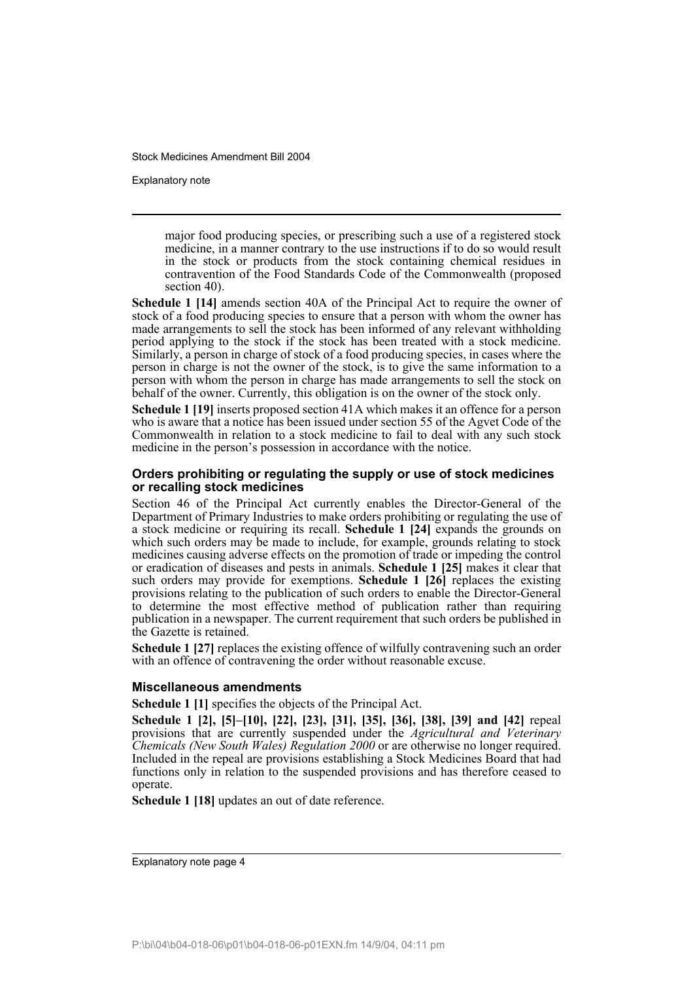Explanatory note

major food producing species, or prescribing such a use of a registered stock medicine, in a manner contrary to the use instructions if to do so would result in the stock or products from the stock containing chemical residues in contravention of the Food Standards Code of the Commonwealth (proposed section 40).

**Schedule 1 [14]** amends section 40A of the Principal Act to require the owner of stock of a food producing species to ensure that a person with whom the owner has made arrangements to sell the stock has been informed of any relevant withholding period applying to the stock if the stock has been treated with a stock medicine. Similarly, a person in charge of stock of a food producing species, in cases where the person in charge is not the owner of the stock, is to give the same information to a person with whom the person in charge has made arrangements to sell the stock on behalf of the owner. Currently, this obligation is on the owner of the stock only.

**Schedule 1 [19]** inserts proposed section 41A which makes it an offence for a person who is aware that a notice has been issued under section 55 of the Agvet Code of the Commonwealth in relation to a stock medicine to fail to deal with any such stock medicine in the person's possession in accordance with the notice.

# **Orders prohibiting or regulating the supply or use of stock medicines or recalling stock medicines**

Section 46 of the Principal Act currently enables the Director-General of the Department of Primary Industries to make orders prohibiting or regulating the use of a stock medicine or requiring its recall. **Schedule 1 [24]** expands the grounds on which such orders may be made to include, for example, grounds relating to stock medicines causing adverse effects on the promotion of trade or impeding the control or eradication of diseases and pests in animals. **Schedule 1 [25]** makes it clear that such orders may provide for exemptions. **Schedule 1 [26]** replaces the existing provisions relating to the publication of such orders to enable the Director-General to determine the most effective method of publication rather than requiring publication in a newspaper. The current requirement that such orders be published in the Gazette is retained.

**Schedule 1 [27]** replaces the existing offence of wilfully contravening such an order with an offence of contravening the order without reasonable excuse.

# **Miscellaneous amendments**

**Schedule 1 [1]** specifies the objects of the Principal Act.

**Schedule 1 [2], [5]–[10], [22], [23], [31], [35], [36], [38], [39] and [42]** repeal provisions that are currently suspended under the *Agricultural and Veterinary Chemicals (New South Wales) Regulation 2000* or are otherwise no longer required. Included in the repeal are provisions establishing a Stock Medicines Board that had functions only in relation to the suspended provisions and has therefore ceased to operate.

**Schedule 1 [18]** updates an out of date reference.

Explanatory note page 4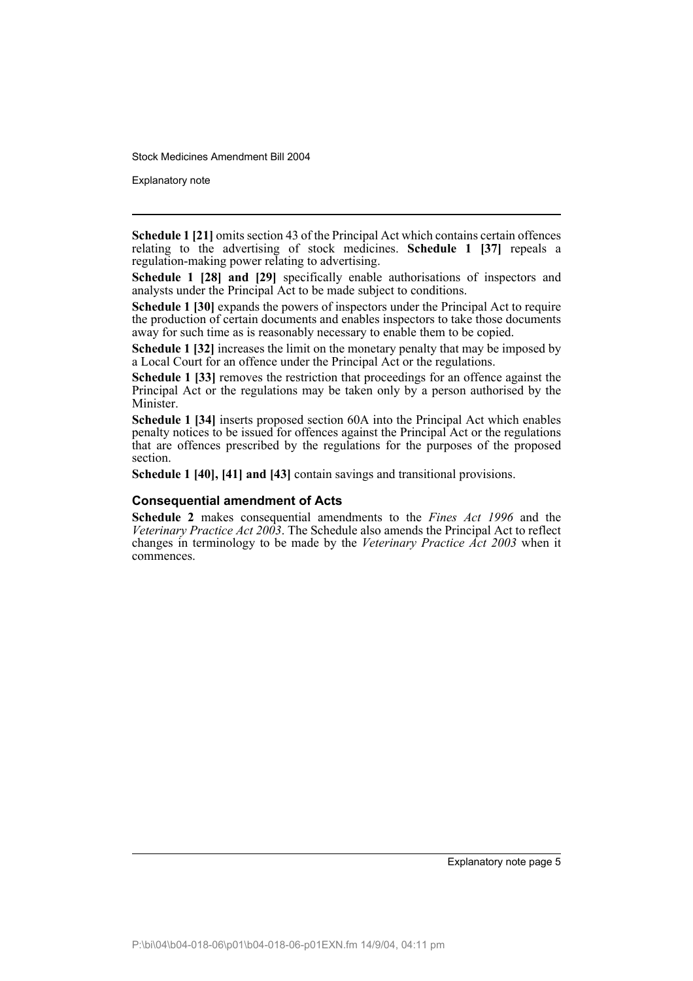Explanatory note

**Schedule 1 [21]** omits section 43 of the Principal Act which contains certain offences relating to the advertising of stock medicines. **Schedule 1 [37]** repeals a regulation-making power relating to advertising.

**Schedule 1 [28] and [29]** specifically enable authorisations of inspectors and analysts under the Principal Act to be made subject to conditions.

**Schedule 1 [30]** expands the powers of inspectors under the Principal Act to require the production of certain documents and enables inspectors to take those documents away for such time as is reasonably necessary to enable them to be copied.

**Schedule 1 [32]** increases the limit on the monetary penalty that may be imposed by a Local Court for an offence under the Principal Act or the regulations.

**Schedule 1 [33]** removes the restriction that proceedings for an offence against the Principal Act or the regulations may be taken only by a person authorised by the Minister.

**Schedule 1 [34]** inserts proposed section 60A into the Principal Act which enables penalty notices to be issued for offences against the Principal Act or the regulations that are offences prescribed by the regulations for the purposes of the proposed section.

**Schedule 1 [40], [41] and [43]** contain savings and transitional provisions.

# **Consequential amendment of Acts**

**Schedule 2** makes consequential amendments to the *Fines Act 1996* and the *Veterinary Practice Act 2003*. The Schedule also amends the Principal Act to reflect changes in terminology to be made by the *Veterinary Practice Act 2003* when it commences.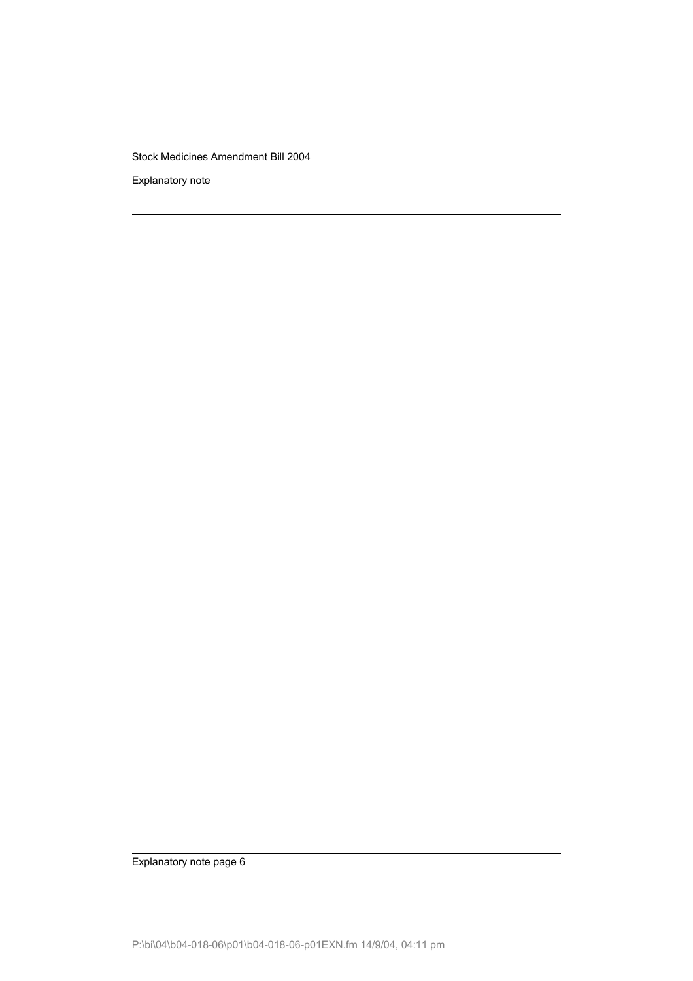Explanatory note

Explanatory note page 6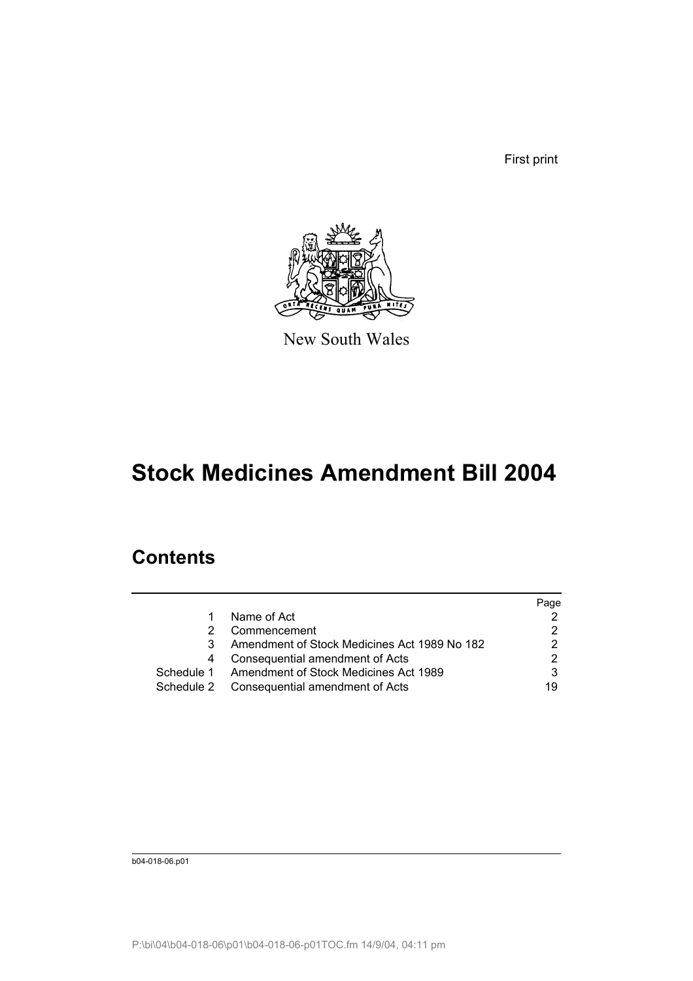First print



New South Wales

# **Stock Medicines Amendment Bill 2004**

# **Contents**

|   |                                                  | Page |
|---|--------------------------------------------------|------|
|   | Name of Act                                      |      |
| 2 | Commencement                                     |      |
| 3 | Amendment of Stock Medicines Act 1989 No 182     |      |
|   | Consequential amendment of Acts                  |      |
|   | Schedule 1 Amendment of Stock Medicines Act 1989 | 3    |
|   | Schedule 2 Consequential amendment of Acts       | 19   |

b04-018-06.p01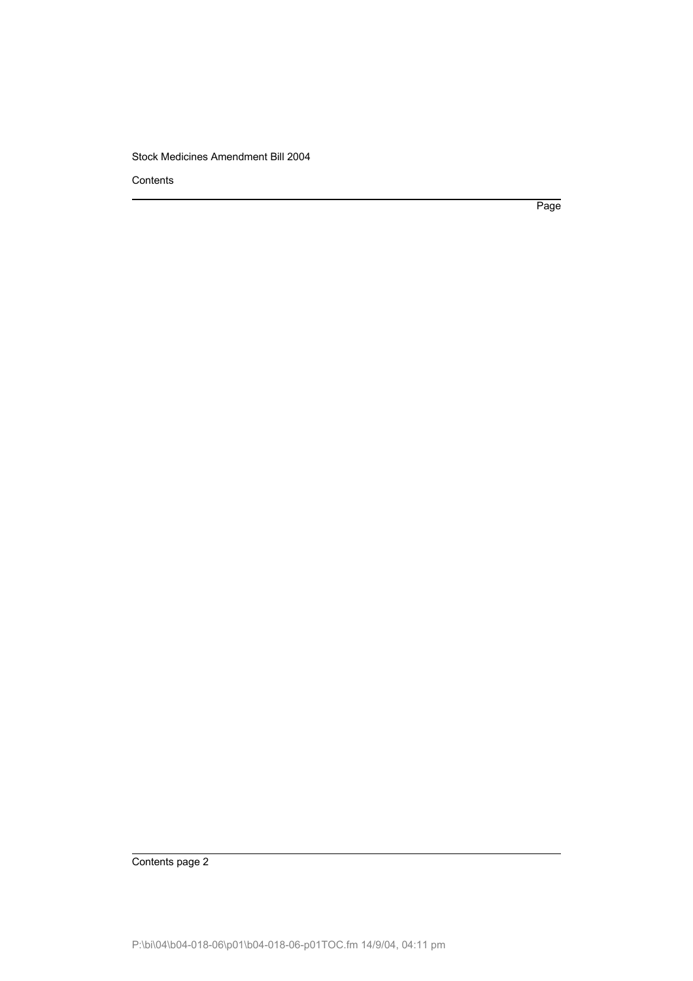**Contents** 

Page

Contents page 2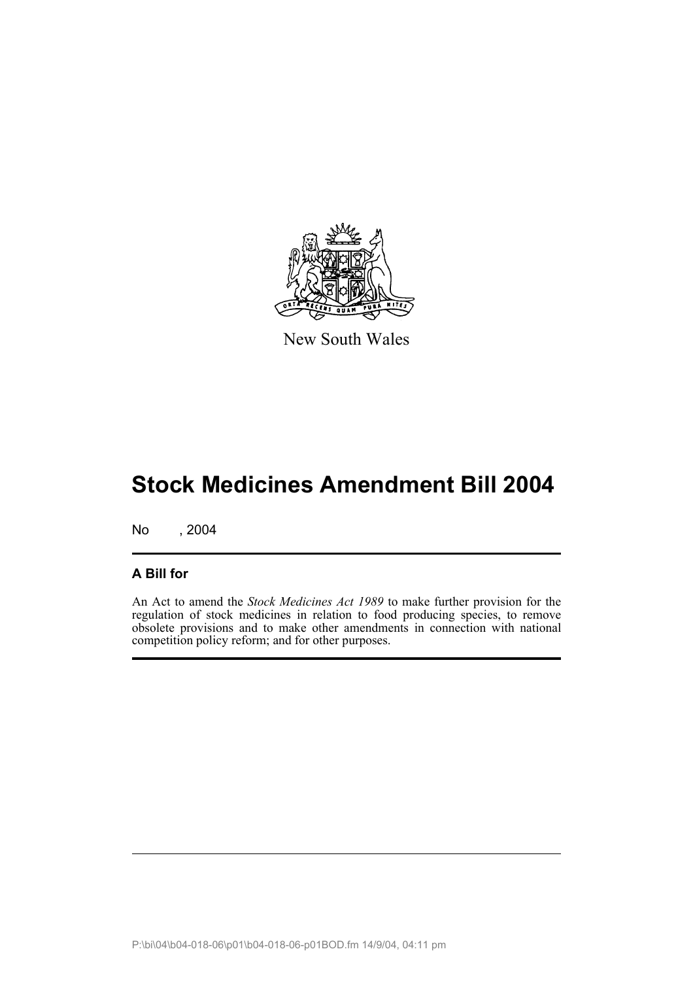

New South Wales

# **Stock Medicines Amendment Bill 2004**

No , 2004

# **A Bill for**

An Act to amend the *Stock Medicines Act 1989* to make further provision for the regulation of stock medicines in relation to food producing species, to remove obsolete provisions and to make other amendments in connection with national competition policy reform; and for other purposes.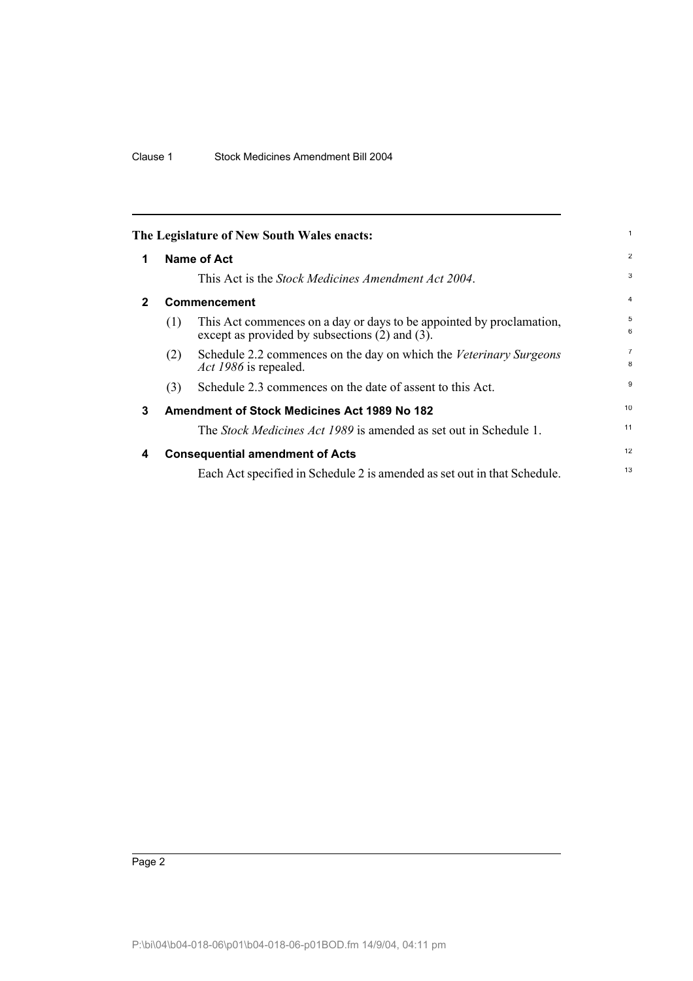<span id="page-9-3"></span><span id="page-9-2"></span><span id="page-9-1"></span><span id="page-9-0"></span>

|                  |     | The Legislature of New South Wales enacts:                                                                                  | 1                   |  |  |
|------------------|-----|-----------------------------------------------------------------------------------------------------------------------------|---------------------|--|--|
| Name of Act<br>1 |     |                                                                                                                             |                     |  |  |
|                  |     | This Act is the <i>Stock Medicines Amendment Act 2004</i> .                                                                 | 3                   |  |  |
| 2                |     | <b>Commencement</b>                                                                                                         | 4                   |  |  |
|                  | (1) | This Act commences on a day or days to be appointed by proclamation,<br>except as provided by subsections $(2)$ and $(3)$ . | 5<br>6              |  |  |
|                  | (2) | Schedule 2.2 commences on the day on which the Veterinary Surgeons<br><i>Act 1986</i> is repealed.                          | $\overline{7}$<br>8 |  |  |
|                  | (3) | Schedule 2.3 commences on the date of assent to this Act.                                                                   | 9                   |  |  |
| 3                |     | Amendment of Stock Medicines Act 1989 No 182                                                                                | 10                  |  |  |
|                  |     | The <i>Stock Medicines Act 1989</i> is amended as set out in Schedule 1.                                                    | 11                  |  |  |
| 4                |     | <b>Consequential amendment of Acts</b>                                                                                      | 12                  |  |  |
|                  |     | Each Act specified in Schedule 2 is amended as set out in that Schedule.                                                    | 13                  |  |  |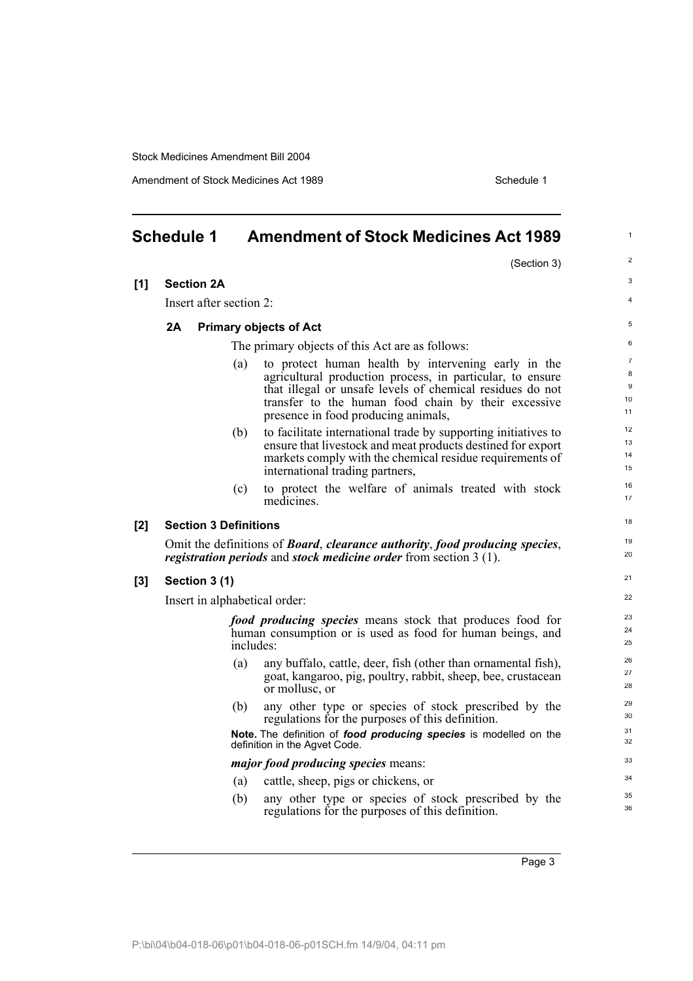Amendment of Stock Medicines Act 1989 Schedule 1

1

18 19 20

<span id="page-10-0"></span>

|       | <b>Schedule 1</b> |                              |           | <b>Amendment of Stock Medicines Act 1989</b>                                                                                                                                                                                                                                |  |
|-------|-------------------|------------------------------|-----------|-----------------------------------------------------------------------------------------------------------------------------------------------------------------------------------------------------------------------------------------------------------------------------|--|
|       |                   |                              |           | (Section 3)                                                                                                                                                                                                                                                                 |  |
| [1]   |                   | <b>Section 2A</b>            |           |                                                                                                                                                                                                                                                                             |  |
|       |                   | Insert after section 2:      |           |                                                                                                                                                                                                                                                                             |  |
|       | 2Α                |                              |           | <b>Primary objects of Act</b>                                                                                                                                                                                                                                               |  |
|       |                   |                              |           | The primary objects of this Act are as follows:                                                                                                                                                                                                                             |  |
|       |                   |                              | (a)       | to protect human health by intervening early in the<br>agricultural production process, in particular, to ensure<br>that illegal or unsafe levels of chemical residues do not<br>transfer to the human food chain by their excessive<br>presence in food producing animals, |  |
|       |                   |                              | (b)       | to facilitate international trade by supporting initiatives to<br>ensure that livestock and meat products destined for export<br>markets comply with the chemical residue requirements of<br>international trading partners,                                                |  |
|       |                   |                              | (c)       | to protect the welfare of animals treated with stock<br>medicines.                                                                                                                                                                                                          |  |
| [2]   |                   | <b>Section 3 Definitions</b> |           |                                                                                                                                                                                                                                                                             |  |
|       |                   |                              |           | Omit the definitions of <b>Board</b> , clearance authority, food producing species,<br><i>registration periods</i> and <i>stock medicine order</i> from section 3 (1).                                                                                                      |  |
| $[3]$ |                   | Section 3 (1)                |           |                                                                                                                                                                                                                                                                             |  |
|       |                   |                              |           | Insert in alphabetical order:                                                                                                                                                                                                                                               |  |
|       |                   |                              | includes: | food producing species means stock that produces food for<br>human consumption or is used as food for human beings, and                                                                                                                                                     |  |
|       |                   |                              | (a)       | any buffalo, cattle, deer, fish (other than ornamental fish),<br>goat, kangaroo, pig, poultry, rabbit, sheep, bee, crustacean<br>or mollusc, or                                                                                                                             |  |
|       |                   |                              | (b)       | any other type or species of stock prescribed by the<br>regulations for the purposes of this definition.                                                                                                                                                                    |  |
|       |                   |                              |           | Note. The definition of food producing species is modelled on the<br>definition in the Agvet Code.                                                                                                                                                                          |  |
|       |                   |                              |           | <i>major food producing species means:</i>                                                                                                                                                                                                                                  |  |
|       |                   |                              | (a)       | cattle, sheep, pigs or chickens, or                                                                                                                                                                                                                                         |  |
|       |                   |                              | (b)       | any other type or species of stock prescribed by the<br>regulations for the purposes of this definition.                                                                                                                                                                    |  |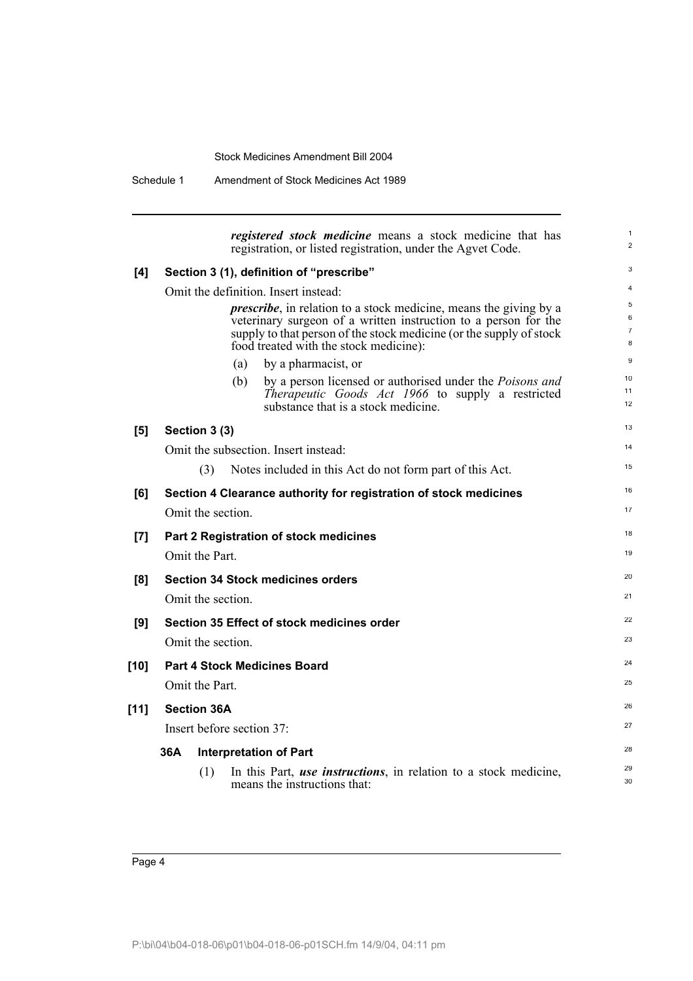Schedule 1 Amendment of Stock Medicines Act 1989

*registered stock medicine* means a stock medicine that has registration, or listed registration, under the Agvet Code. **[4] Section 3 (1), definition of "prescribe"** Omit the definition. Insert instead: *prescribe*, in relation to a stock medicine, means the giving by a veterinary surgeon of a written instruction to a person for the supply to that person of the stock medicine (or the supply of stock food treated with the stock medicine): (a) by a pharmacist, or (b) by a person licensed or authorised under the *Poisons and Therapeutic Goods Act 1966* to supply a restricted substance that is a stock medicine. **[5] Section 3 (3)** Omit the subsection. Insert instead: (3) Notes included in this Act do not form part of this Act. **[6] Section 4 Clearance authority for registration of stock medicines** Omit the section. **[7] Part 2 Registration of stock medicines** Omit the Part. **[8] Section 34 Stock medicines orders** Omit the section. **[9] Section 35 Effect of stock medicines order** Omit the section. **[10] Part 4 Stock Medicines Board** Omit the Part. **[11] Section 36A**

1 2

13 14 15

16 17

18 19

20 21

26

Insert before section 37: **36A Interpretation of Part** (1) In this Part, *use instructions*, in relation to a stock medicine, means the instructions that: 27 28 29 30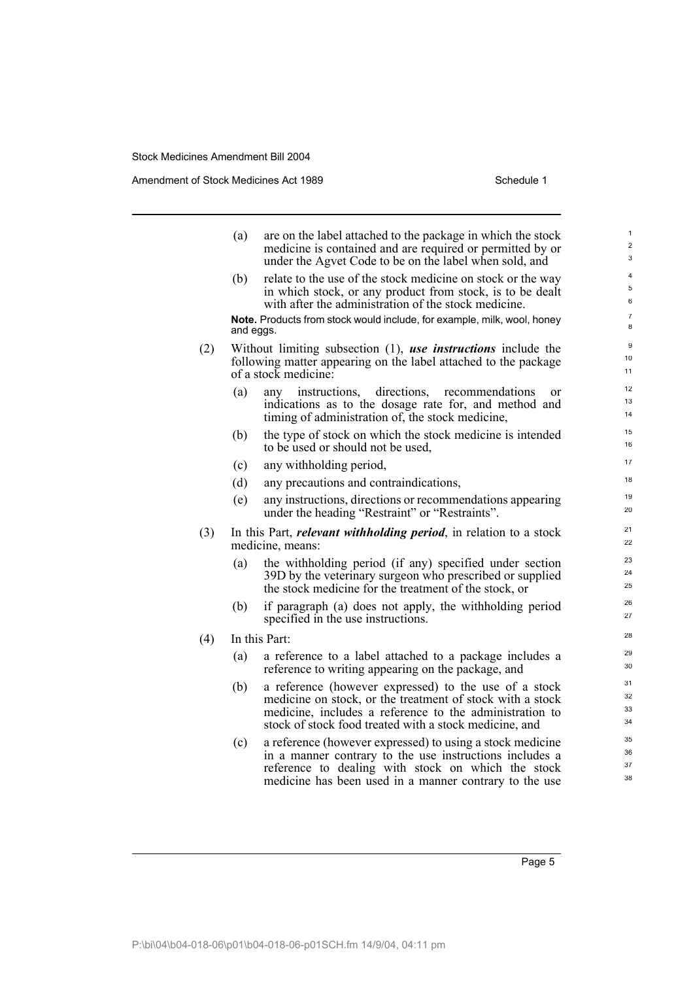Amendment of Stock Medicines Act 1989 Schedule 1

|     | (a)       | are on the label attached to the package in which the stock<br>medicine is contained and are required or permitted by or<br>under the Agvet Code to be on the label when sold, and                                                      |
|-----|-----------|-----------------------------------------------------------------------------------------------------------------------------------------------------------------------------------------------------------------------------------------|
|     | (b)       | relate to the use of the stock medicine on stock or the way<br>in which stock, or any product from stock, is to be dealt<br>with after the administration of the stock medicine.                                                        |
|     | and eggs. | Note. Products from stock would include, for example, milk, wool, honey                                                                                                                                                                 |
| (2) |           | Without limiting subsection $(1)$ , use instructions include the<br>following matter appearing on the label attached to the package<br>of a stock medicine.                                                                             |
|     | (a)       | directions,<br>instructions,<br>recommendations<br>any<br>or<br>indications as to the dosage rate for, and method and<br>timing of administration of, the stock medicine,                                                               |
|     | (b)       | the type of stock on which the stock medicine is intended<br>to be used or should not be used,                                                                                                                                          |
|     | (c)       | any withholding period,                                                                                                                                                                                                                 |
|     | (d)       | any precautions and contraindications,                                                                                                                                                                                                  |
|     | (e)       | any instructions, directions or recommendations appearing<br>under the heading "Restraint" or "Restraints".                                                                                                                             |
| (3) |           | In this Part, <i>relevant withholding period</i> , in relation to a stock<br>medicine, means:                                                                                                                                           |
|     | (a)       | the withholding period (if any) specified under section<br>39D by the veterinary surgeon who prescribed or supplied<br>the stock medicine for the treatment of the stock, or                                                            |
|     | (b)       | if paragraph (a) does not apply, the withholding period<br>specified in the use instructions.                                                                                                                                           |
| (4) |           | In this Part:                                                                                                                                                                                                                           |
|     | (a)       | a reference to a label attached to a package includes a<br>reference to writing appearing on the package, and                                                                                                                           |
|     | (b)       | a reference (however expressed) to the use of a stock<br>medicine on stock, or the treatment of stock with a stock<br>medicine, includes a reference to the administration to<br>stock of stock food treated with a stock medicine, and |
|     | (c)       | a reference (however expressed) to using a stock medicine<br>in a manner contrary to the use instructions includes a<br>reference to dealing with stock on which the stock<br>medicine has been used in a manner contrary to the use    |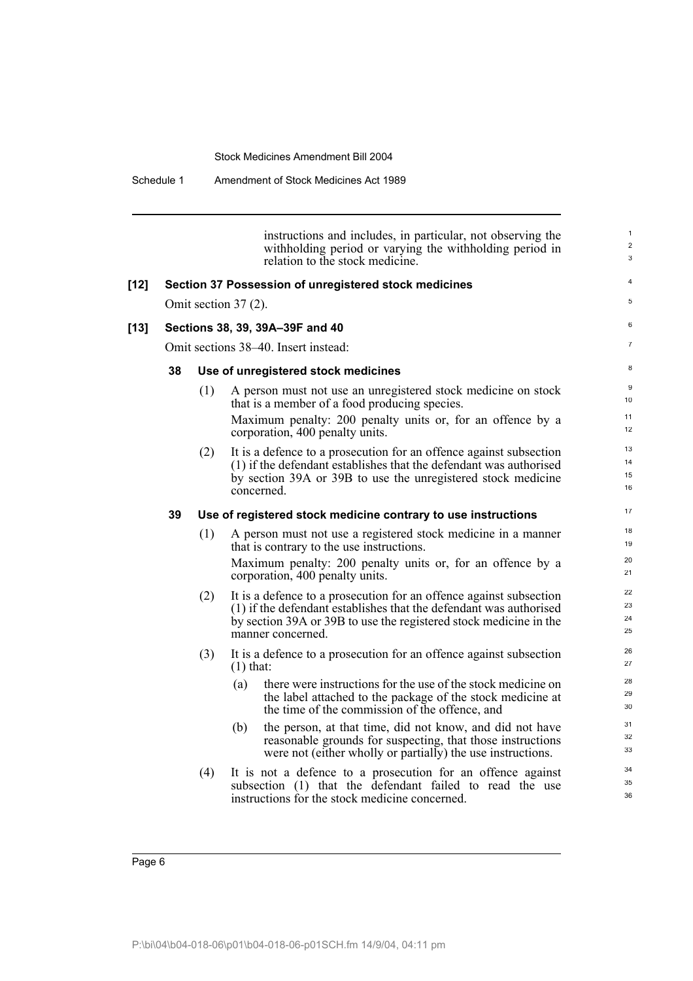instructions and includes, in particular, not observing the withholding period or varying the withholding period in relation to the stock medicine.

1 2 3

4 5

6 7

# **[12] Section 37 Possession of unregistered stock medicines**

Omit section 37 (2).

# **[13] Sections 38, 39, 39A–39F and 40**

Omit sections 38–40. Insert instead:

## **38 Use of unregistered stock medicines**

- (1) A person must not use an unregistered stock medicine on stock that is a member of a food producing species. Maximum penalty: 200 penalty units or, for an offence by a corporation, 400 penalty units.
- (2) It is a defence to a prosecution for an offence against subsection (1) if the defendant establishes that the defendant was authorised by section 39A or 39B to use the unregistered stock medicine concerned.

# **39 Use of registered stock medicine contrary to use instructions**

- (1) A person must not use a registered stock medicine in a manner that is contrary to the use instructions. Maximum penalty: 200 penalty units or, for an offence by a corporation, 400 penalty units.
- (2) It is a defence to a prosecution for an offence against subsection (1) if the defendant establishes that the defendant was authorised by section 39A or 39B to use the registered stock medicine in the manner concerned.
- (3) It is a defence to a prosecution for an offence against subsection  $(1)$  that:
	- (a) there were instructions for the use of the stock medicine on the label attached to the package of the stock medicine at the time of the commission of the offence, and
	- (b) the person, at that time, did not know, and did not have reasonable grounds for suspecting, that those instructions were not (either wholly or partially) the use instructions.
- (4) It is not a defence to a prosecution for an offence against subsection (1) that the defendant failed to read the use instructions for the stock medicine concerned.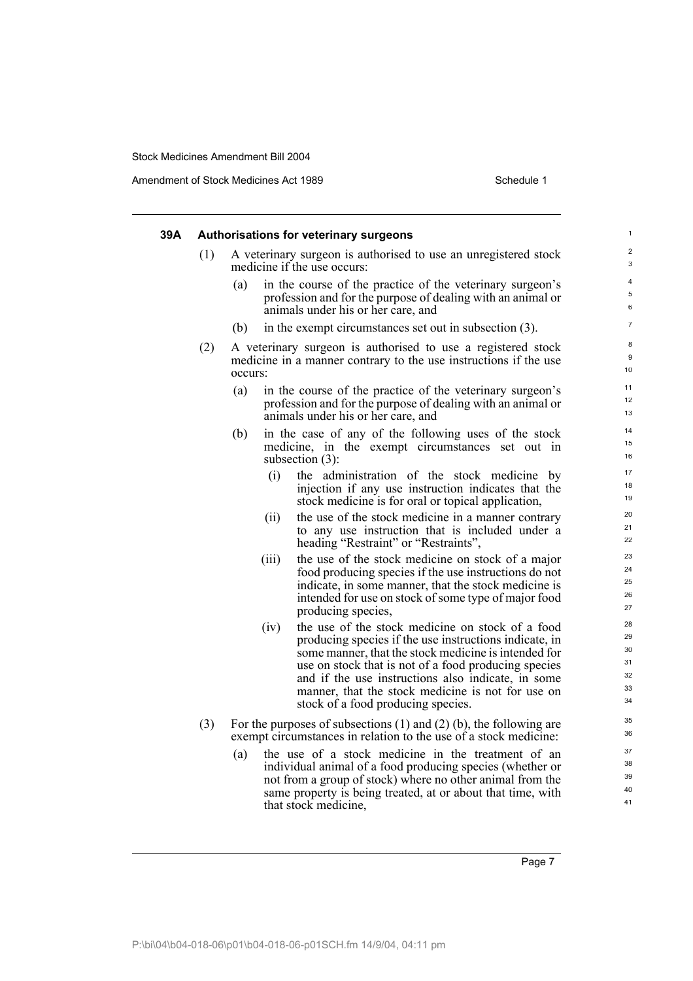Amendment of Stock Medicines Act 1989 Schedule 1

| 39A |     | Authorisations for veterinary surgeons                                                                                                                                                                                                                                                                                                                                              | 1                                      |
|-----|-----|-------------------------------------------------------------------------------------------------------------------------------------------------------------------------------------------------------------------------------------------------------------------------------------------------------------------------------------------------------------------------------------|----------------------------------------|
|     | (1) | A veterinary surgeon is authorised to use an unregistered stock<br>medicine if the use occurs:                                                                                                                                                                                                                                                                                      | $\overline{2}$<br>3                    |
|     |     | (a)<br>in the course of the practice of the veterinary surgeon's<br>profession and for the purpose of dealing with an animal or<br>animals under his or her care, and                                                                                                                                                                                                               | 4<br>5<br>6                            |
|     |     | (b)<br>in the exempt circumstances set out in subsection $(3)$ .                                                                                                                                                                                                                                                                                                                    | $\overline{7}$                         |
|     | (2) | A veterinary surgeon is authorised to use a registered stock<br>medicine in a manner contrary to the use instructions if the use<br>occurs:                                                                                                                                                                                                                                         | 8<br>9<br>10                           |
|     |     | (a)<br>in the course of the practice of the veterinary surgeon's<br>profession and for the purpose of dealing with an animal or<br>animals under his or her care, and                                                                                                                                                                                                               | 11<br>12<br>13                         |
|     |     | in the case of any of the following uses of the stock<br>(b)<br>medicine, in the exempt circumstances set out in<br>subsection $(3)$ :                                                                                                                                                                                                                                              | 14<br>15<br>16                         |
|     |     | (i)<br>the administration of the stock medicine by<br>injection if any use instruction indicates that the<br>stock medicine is for oral or topical application,                                                                                                                                                                                                                     | 17<br>18<br>19                         |
|     |     | the use of the stock medicine in a manner contrary<br>(ii)<br>to any use instruction that is included under a<br>heading "Restraint" or "Restraints",                                                                                                                                                                                                                               | 20<br>21<br>22                         |
|     |     | the use of the stock medicine on stock of a major<br>(iii)<br>food producing species if the use instructions do not<br>indicate, in some manner, that the stock medicine is<br>intended for use on stock of some type of major food<br>producing species,                                                                                                                           | 23<br>24<br>25<br>26<br>27             |
|     |     | the use of the stock medicine on stock of a food<br>(iv)<br>producing species if the use instructions indicate, in<br>some manner, that the stock medicine is intended for<br>use on stock that is not of a food producing species<br>and if the use instructions also indicate, in some<br>manner, that the stock medicine is not for use on<br>stock of a food producing species. | 28<br>29<br>30<br>31<br>32<br>33<br>34 |
|     | (3) | For the purposes of subsections $(1)$ and $(2)$ $(b)$ , the following are<br>exempt circumstances in relation to the use of a stock medicine:                                                                                                                                                                                                                                       | 35<br>36                               |
|     |     | the use of a stock medicine in the treatment of an<br>(a)<br>individual animal of a food producing species (whether or<br>not from a group of stock) where no other animal from the<br>same property is being treated, at or about that time, with<br>that stock medicine,                                                                                                          | 37<br>38<br>39<br>40<br>41             |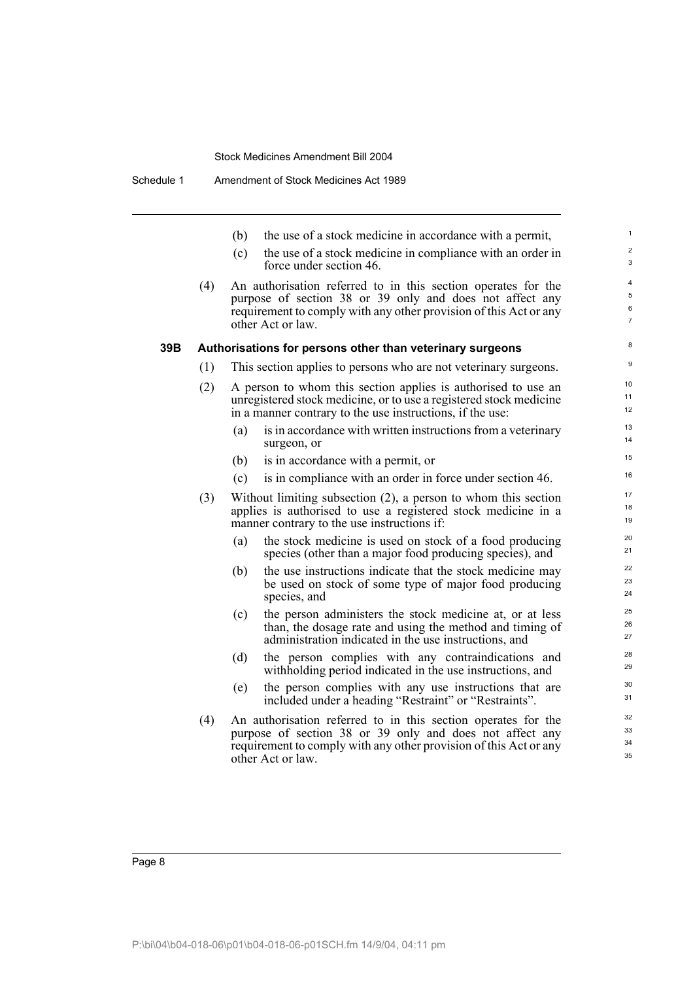- (b) the use of a stock medicine in accordance with a permit,
- (c) the use of a stock medicine in compliance with an order in force under section 46.

(4) An authorisation referred to in this section operates for the purpose of section 38 or 39 only and does not affect any requirement to comply with any other provision of this Act or any other Act or law.

# **39B Authorisations for persons other than veterinary surgeons**

- (1) This section applies to persons who are not veterinary surgeons.
- (2) A person to whom this section applies is authorised to use an unregistered stock medicine, or to use a registered stock medicine in a manner contrary to the use instructions, if the use:
	- (a) is in accordance with written instructions from a veterinary surgeon, or
	- (b) is in accordance with a permit, or
	- (c) is in compliance with an order in force under section 46.
- (3) Without limiting subsection (2), a person to whom this section applies is authorised to use a registered stock medicine in a manner contrary to the use instructions if:
	- (a) the stock medicine is used on stock of a food producing species (other than a major food producing species), and
	- (b) the use instructions indicate that the stock medicine may be used on stock of some type of major food producing species, and
	- (c) the person administers the stock medicine at, or at less than, the dosage rate and using the method and timing of administration indicated in the use instructions, and
	- (d) the person complies with any contraindications and withholding period indicated in the use instructions, and
	- (e) the person complies with any use instructions that are included under a heading "Restraint" or "Restraints".
- (4) An authorisation referred to in this section operates for the purpose of section 38 or 39 only and does not affect any requirement to comply with any other provision of this Act or any other Act or law.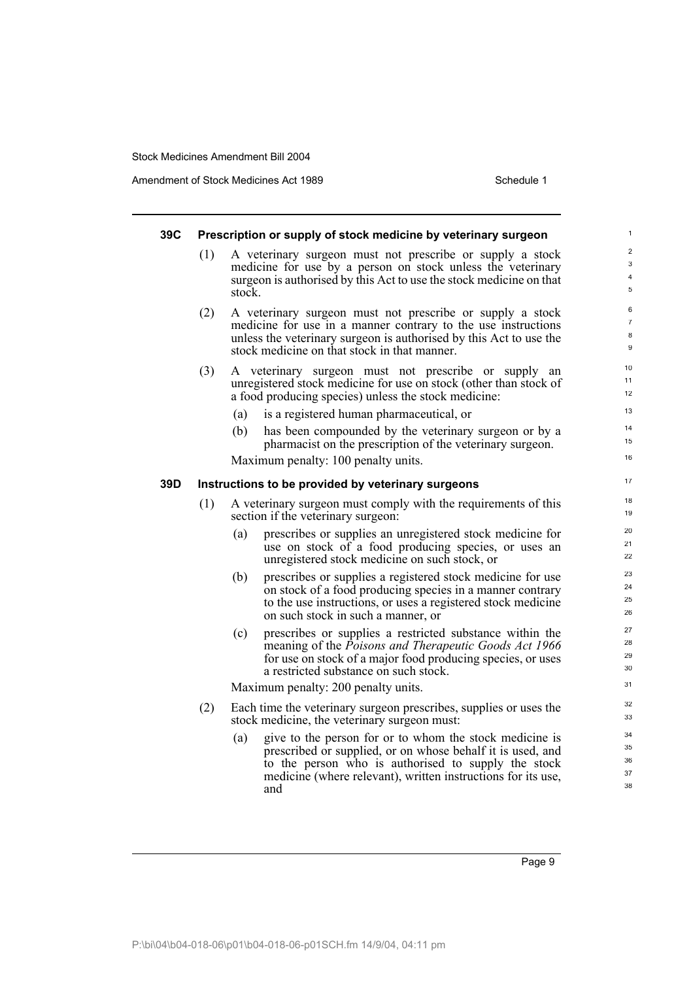Amendment of Stock Medicines Act 1989 New York Schedule 1

## **39C Prescription or supply of stock medicine by veterinary surgeon**

- (1) A veterinary surgeon must not prescribe or supply a stock medicine for use by a person on stock unless the veterinary surgeon is authorised by this Act to use the stock medicine on that stock.
- (2) A veterinary surgeon must not prescribe or supply a stock medicine for use in a manner contrary to the use instructions unless the veterinary surgeon is authorised by this Act to use the stock medicine on that stock in that manner.
- (3) A veterinary surgeon must not prescribe or supply an unregistered stock medicine for use on stock (other than stock of a food producing species) unless the stock medicine:
	- (a) is a registered human pharmaceutical, or
	- (b) has been compounded by the veterinary surgeon or by a pharmacist on the prescription of the veterinary surgeon. Maximum penalty: 100 penalty units.

# **39D Instructions to be provided by veterinary surgeons**

- (1) A veterinary surgeon must comply with the requirements of this section if the veterinary surgeon:
	- (a) prescribes or supplies an unregistered stock medicine for use on stock of a food producing species, or uses an unregistered stock medicine on such stock, or
	- (b) prescribes or supplies a registered stock medicine for use on stock of a food producing species in a manner contrary to the use instructions, or uses a registered stock medicine on such stock in such a manner, or
	- (c) prescribes or supplies a restricted substance within the meaning of the *Poisons and Therapeutic Goods Act 1966* for use on stock of a major food producing species, or uses a restricted substance on such stock.

Maximum penalty: 200 penalty units.

- (2) Each time the veterinary surgeon prescribes, supplies or uses the stock medicine, the veterinary surgeon must:
	- (a) give to the person for or to whom the stock medicine is prescribed or supplied, or on whose behalf it is used, and to the person who is authorised to supply the stock medicine (where relevant), written instructions for its use, and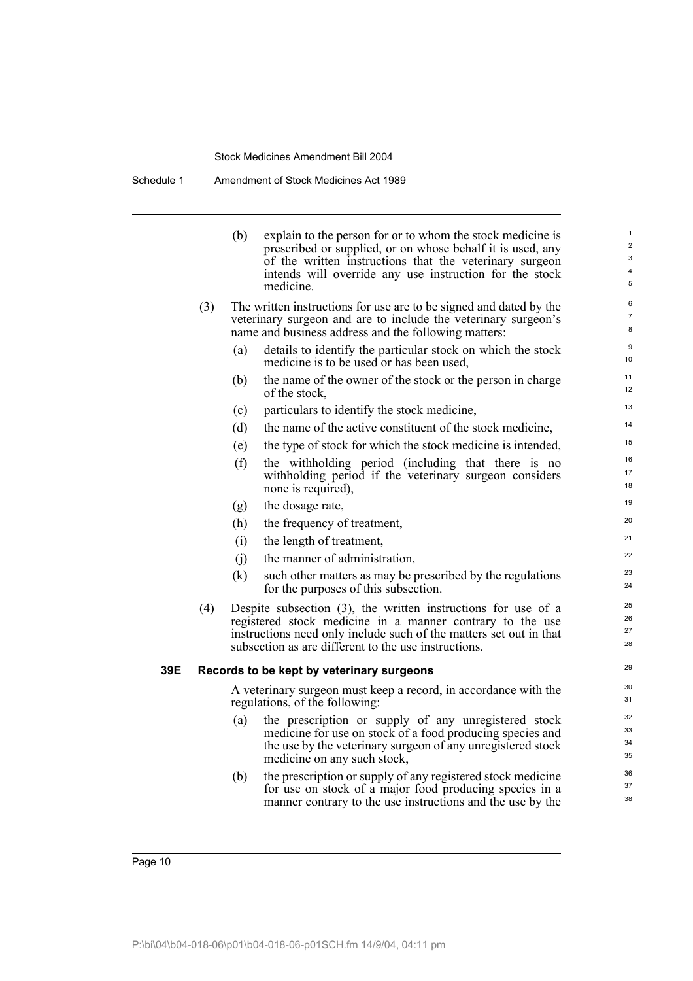Schedule 1 Amendment of Stock Medicines Act 1989

(b) explain to the person for or to whom the stock medicine is prescribed or supplied, or on whose behalf it is used, any of the written instructions that the veterinary surgeon intends will override any use instruction for the stock medicine.

- (3) The written instructions for use are to be signed and dated by the veterinary surgeon and are to include the veterinary surgeon's name and business address and the following matters:
	- (a) details to identify the particular stock on which the stock medicine is to be used or has been used,
	- (b) the name of the owner of the stock or the person in charge of the stock,
	- (c) particulars to identify the stock medicine,
	- (d) the name of the active constituent of the stock medicine,
	- (e) the type of stock for which the stock medicine is intended,
	- (f) the withholding period (including that there is no withholding period if the veterinary surgeon considers none is required),
	- (g) the dosage rate,
	- (h) the frequency of treatment,
	- (i) the length of treatment,
	- (j) the manner of administration,
	- (k) such other matters as may be prescribed by the regulations for the purposes of this subsection.
- (4) Despite subsection (3), the written instructions for use of a registered stock medicine in a manner contrary to the use instructions need only include such of the matters set out in that subsection as are different to the use instructions.

## **39E Records to be kept by veterinary surgeons**

A veterinary surgeon must keep a record, in accordance with the regulations, of the following:

- (a) the prescription or supply of any unregistered stock medicine for use on stock of a food producing species and the use by the veterinary surgeon of any unregistered stock medicine on any such stock,
- (b) the prescription or supply of any registered stock medicine for use on stock of a major food producing species in a manner contrary to the use instructions and the use by the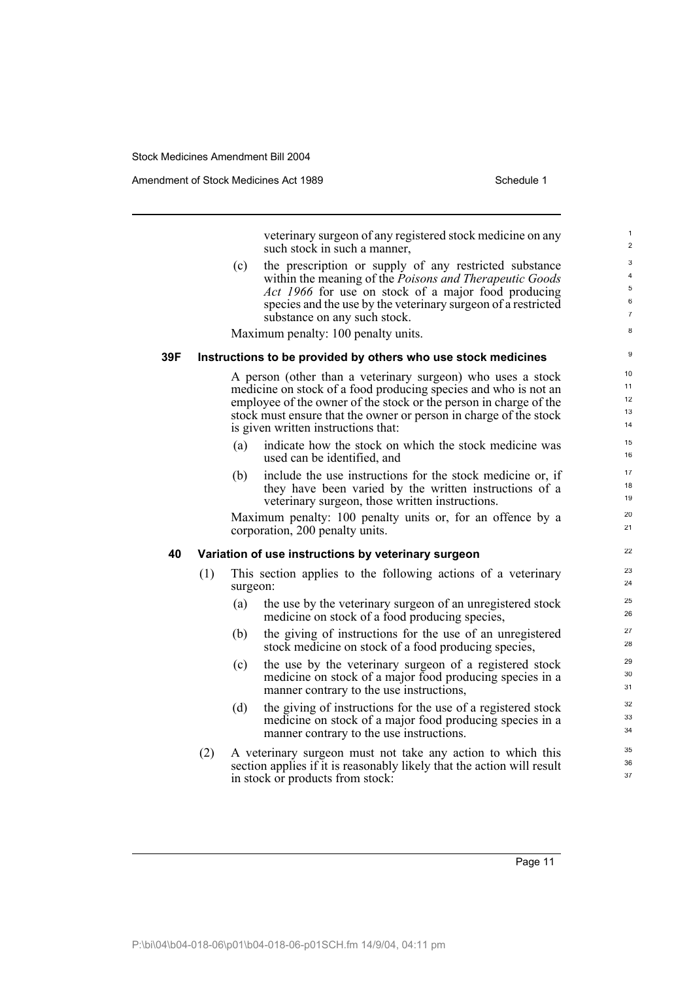Amendment of Stock Medicines Act 1989 New York Schedule 1

veterinary surgeon of any registered stock medicine on any such stock in such a manner,

(c) the prescription or supply of any restricted substance within the meaning of the *Poisons and Therapeutic Goods Act 1966* for use on stock of a major food producing species and the use by the veterinary surgeon of a restricted substance on any such stock.

Maximum penalty: 100 penalty units.

# **39F Instructions to be provided by others who use stock medicines**

A person (other than a veterinary surgeon) who uses a stock medicine on stock of a food producing species and who is not an employee of the owner of the stock or the person in charge of the stock must ensure that the owner or person in charge of the stock is given written instructions that:

- (a) indicate how the stock on which the stock medicine was used can be identified, and
- (b) include the use instructions for the stock medicine or, if they have been varied by the written instructions of a veterinary surgeon, those written instructions.

Maximum penalty: 100 penalty units or, for an offence by a corporation, 200 penalty units.

# **40 Variation of use instructions by veterinary surgeon**

- (1) This section applies to the following actions of a veterinary surgeon:
	- (a) the use by the veterinary surgeon of an unregistered stock medicine on stock of a food producing species,
	- (b) the giving of instructions for the use of an unregistered stock medicine on stock of a food producing species,
	- (c) the use by the veterinary surgeon of a registered stock medicine on stock of a major food producing species in a manner contrary to the use instructions,
	- (d) the giving of instructions for the use of a registered stock medicine on stock of a major food producing species in a manner contrary to the use instructions.
- (2) A veterinary surgeon must not take any action to which this section applies if it is reasonably likely that the action will result in stock or products from stock: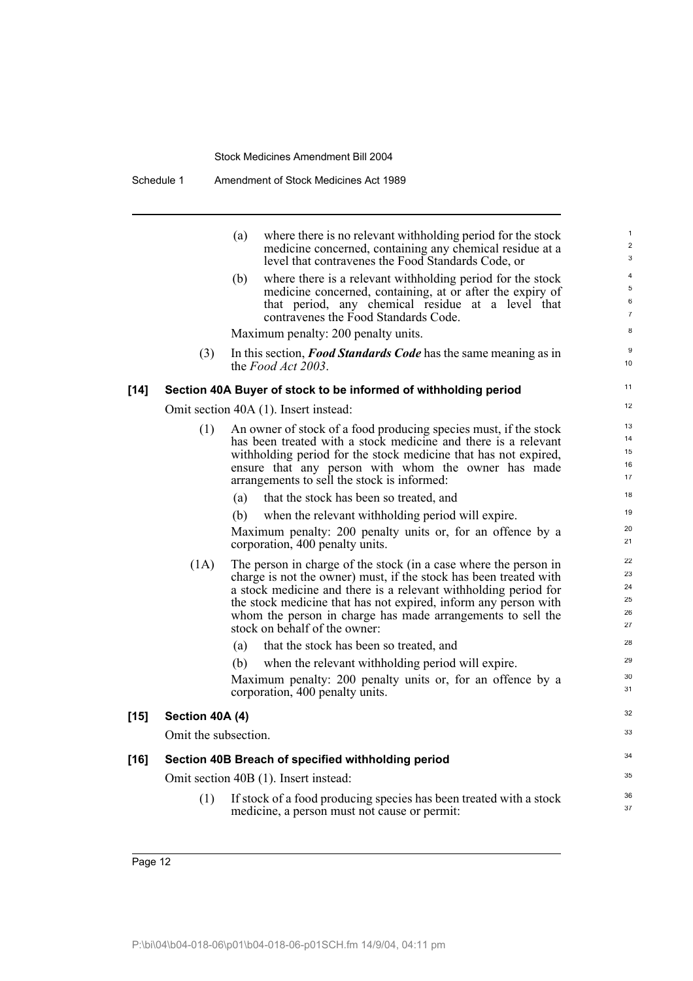|        |                      | where there is no relevant withholding period for the stock<br>(a)<br>medicine concerned, containing any chemical residue at a<br>level that contravenes the Food Standards Code, or                                                                                                                                                                                        | $\mathbf{1}$<br>$\sqrt{2}$<br>3                     |
|--------|----------------------|-----------------------------------------------------------------------------------------------------------------------------------------------------------------------------------------------------------------------------------------------------------------------------------------------------------------------------------------------------------------------------|-----------------------------------------------------|
|        |                      | where there is a relevant withholding period for the stock<br>(b)<br>medicine concerned, containing, at or after the expiry of<br>that period, any chemical residue at a level that<br>contravenes the Food Standards Code.                                                                                                                                                 | $\overline{\mathbf{4}}$<br>5<br>6<br>$\overline{7}$ |
|        |                      | Maximum penalty: 200 penalty units.                                                                                                                                                                                                                                                                                                                                         | 8                                                   |
|        | (3)                  | In this section, <b>Food Standards Code</b> has the same meaning as in<br>the Food Act 2003.                                                                                                                                                                                                                                                                                | 9<br>10                                             |
| $[14]$ |                      | Section 40A Buyer of stock to be informed of withholding period                                                                                                                                                                                                                                                                                                             | 11                                                  |
|        |                      | Omit section 40A (1). Insert instead:                                                                                                                                                                                                                                                                                                                                       | 12                                                  |
|        | (1)                  | An owner of stock of a food producing species must, if the stock<br>has been treated with a stock medicine and there is a relevant<br>withholding period for the stock medicine that has not expired,<br>ensure that any person with whom the owner has made<br>arrangements to sell the stock is informed:                                                                 | 13<br>14<br>15<br>16<br>17                          |
|        |                      | (a)<br>that the stock has been so treated, and                                                                                                                                                                                                                                                                                                                              | 18                                                  |
|        |                      | when the relevant with holding period will expire.<br>(b)                                                                                                                                                                                                                                                                                                                   | 19                                                  |
|        |                      | Maximum penalty: 200 penalty units or, for an offence by a<br>corporation, 400 penalty units.                                                                                                                                                                                                                                                                               | 20<br>21                                            |
|        | (1A)                 | The person in charge of the stock (in a case where the person in<br>charge is not the owner) must, if the stock has been treated with<br>a stock medicine and there is a relevant withholding period for<br>the stock medicine that has not expired, inform any person with<br>whom the person in charge has made arrangements to sell the<br>stock on behalf of the owner: | 22<br>23<br>24<br>25<br>26<br>27                    |
|        |                      | that the stock has been so treated, and<br>(a)                                                                                                                                                                                                                                                                                                                              | 28                                                  |
|        |                      | when the relevant with holding period will expire.<br>(b)                                                                                                                                                                                                                                                                                                                   | 29                                                  |
|        |                      | Maximum penalty: 200 penalty units or, for an offence by a<br>corporation, 400 penalty units.                                                                                                                                                                                                                                                                               | 30<br>31                                            |
| [15]   | Section 40A (4)      |                                                                                                                                                                                                                                                                                                                                                                             | 32                                                  |
|        | Omit the subsection. |                                                                                                                                                                                                                                                                                                                                                                             | 33                                                  |
| $[16]$ |                      | Section 40B Breach of specified withholding period                                                                                                                                                                                                                                                                                                                          | 34                                                  |
|        |                      | Omit section 40B (1). Insert instead:                                                                                                                                                                                                                                                                                                                                       | 35                                                  |
|        | (1)                  | If stock of a food producing species has been treated with a stock<br>medicine, a person must not cause or permit:                                                                                                                                                                                                                                                          | 36<br>37                                            |
|        |                      |                                                                                                                                                                                                                                                                                                                                                                             |                                                     |

 $[15]$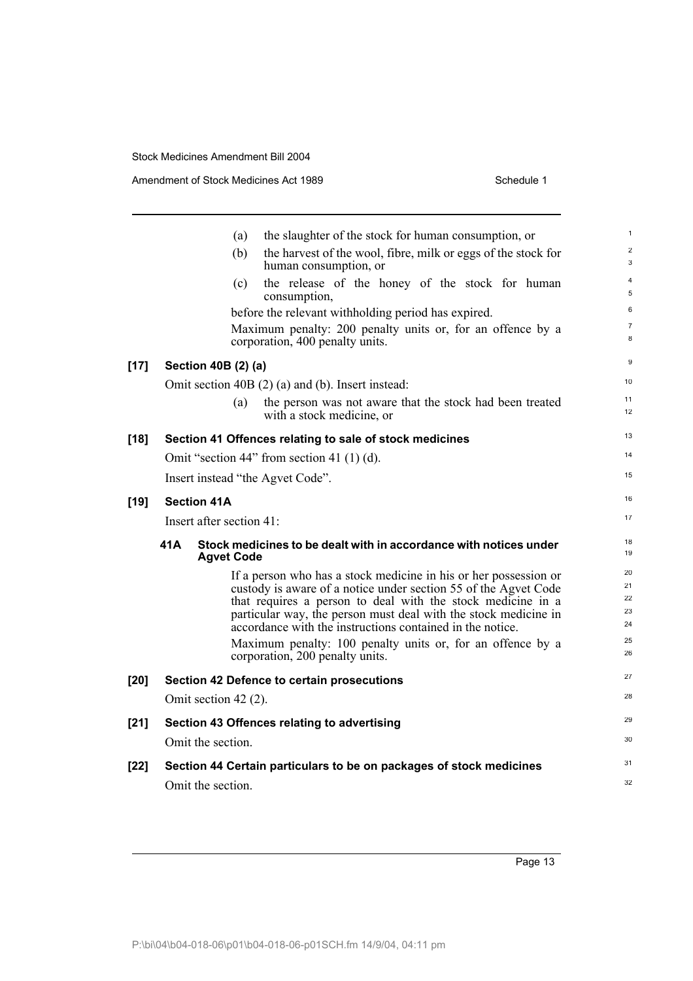|        | the slaughter of the stock for human consumption, or<br>(a)                                                                    | 1                   |
|--------|--------------------------------------------------------------------------------------------------------------------------------|---------------------|
|        | the harvest of the wool, fibre, milk or eggs of the stock for<br>(b)<br>human consumption, or                                  | $\overline{2}$<br>3 |
|        | the release of the honey of the stock for human<br>(c)<br>consumption,                                                         | 4<br>5              |
|        | before the relevant withholding period has expired.                                                                            | 6                   |
|        | Maximum penalty: 200 penalty units or, for an offence by a<br>corporation, 400 penalty units.                                  | 7<br>8              |
| $[17]$ | Section 40B (2) (a)                                                                                                            | 9                   |
|        | Omit section 40B (2) (a) and (b). Insert instead:                                                                              | 10                  |
|        | the person was not aware that the stock had been treated<br>(a)<br>with a stock medicine, or                                   | 11<br>12            |
| $[18]$ | Section 41 Offences relating to sale of stock medicines                                                                        | 13                  |
|        | Omit "section 44" from section 41 $(1)$ $(d)$ .                                                                                | 14                  |
|        | Insert instead "the Agvet Code".                                                                                               | 15                  |
| $[19]$ | <b>Section 41A</b>                                                                                                             | 16                  |
|        | Insert after section 41:                                                                                                       | 17                  |
|        | 41A<br>Stock medicines to be dealt with in accordance with notices under<br><b>Agvet Code</b>                                  | 18<br>19            |
|        | If a person who has a stock medicine in his or her possession or                                                               | 20                  |
|        | custody is aware of a notice under section 55 of the Agvet Code<br>that requires a person to deal with the stock medicine in a | 21<br>22            |
|        | particular way, the person must deal with the stock medicine in                                                                | 23                  |
|        | accordance with the instructions contained in the notice.                                                                      | 24                  |
|        | Maximum penalty: 100 penalty units or, for an offence by a<br>corporation, 200 penalty units.                                  | 25<br>26            |
| $[20]$ | Section 42 Defence to certain prosecutions                                                                                     | 27                  |
|        | Omit section $42$ (2).                                                                                                         | 28                  |
| $[21]$ | Section 43 Offences relating to advertising                                                                                    | 29                  |
|        | Omit the section.                                                                                                              | 30                  |
| $[22]$ | Section 44 Certain particulars to be on packages of stock medicines                                                            | 31                  |
|        | Omit the section.                                                                                                              | 32                  |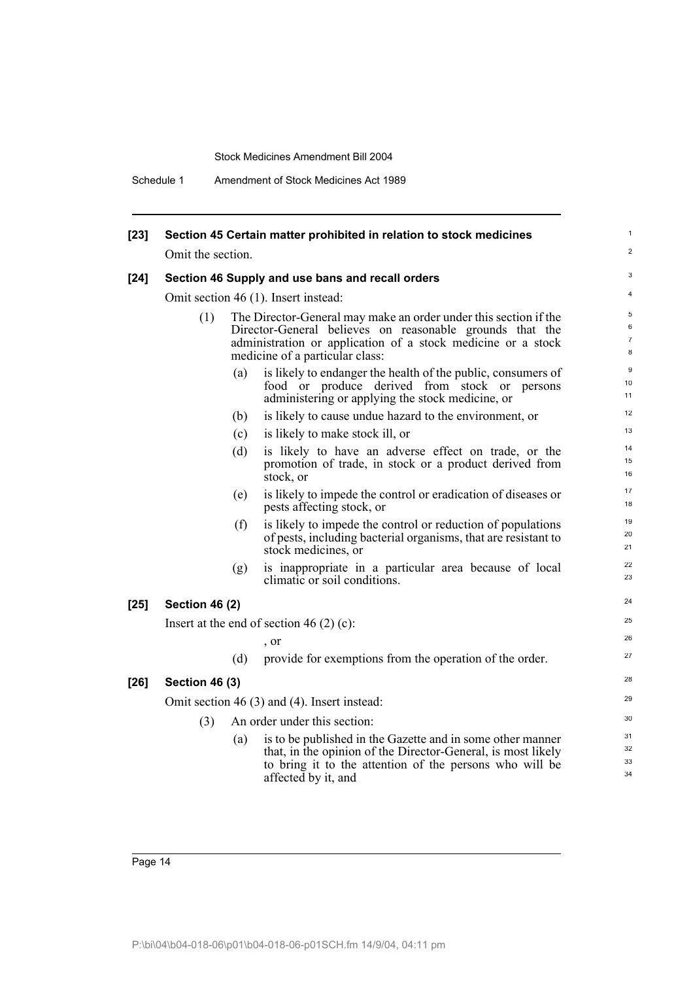Schedule 1 Amendment of Stock Medicines Act 1989

| $[23]$ |                       |     | Section 45 Certain matter prohibited in relation to stock medicines                                                                                  | $\mathbf{1}$        |
|--------|-----------------------|-----|------------------------------------------------------------------------------------------------------------------------------------------------------|---------------------|
|        | Omit the section.     |     |                                                                                                                                                      | $\overline{2}$      |
| $[24]$ |                       |     | Section 46 Supply and use bans and recall orders                                                                                                     | 3                   |
|        |                       |     | Omit section 46 (1). Insert instead:                                                                                                                 | 4                   |
|        | (1)                   |     | The Director-General may make an order under this section if the                                                                                     | 5                   |
|        |                       |     | Director-General believes on reasonable grounds that the                                                                                             | 6<br>$\overline{7}$ |
|        |                       |     | administration or application of a stock medicine or a stock<br>medicine of a particular class:                                                      | 8                   |
|        |                       | (a) | is likely to endanger the health of the public, consumers of                                                                                         | 9<br>10             |
|        |                       |     | food or produce derived from stock or<br>persons<br>administering or applying the stock medicine, or                                                 | 11                  |
|        |                       | (b) | is likely to cause undue hazard to the environment, or                                                                                               | 12                  |
|        |                       | (c) | is likely to make stock ill, or                                                                                                                      | 13                  |
|        |                       | (d) | is likely to have an adverse effect on trade, or the                                                                                                 | 14<br>15            |
|        |                       |     | promotion of trade, in stock or a product derived from<br>stock, or                                                                                  | 16                  |
|        |                       | (e) | is likely to impede the control or eradication of diseases or<br>pests affecting stock, or                                                           | 17<br>18            |
|        |                       | (f) | is likely to impede the control or reduction of populations<br>of pests, including bacterial organisms, that are resistant to<br>stock medicines, or | 19<br>20<br>21      |
|        |                       | (g) | is inappropriate in a particular area because of local<br>climatic or soil conditions.                                                               | 22<br>23            |
| $[25]$ | <b>Section 46 (2)</b> |     |                                                                                                                                                      | 24                  |
|        |                       |     | Insert at the end of section 46 (2) (c):                                                                                                             | 25                  |
|        |                       |     | , or                                                                                                                                                 | 26                  |
|        |                       | (d) | provide for exemptions from the operation of the order.                                                                                              | 27                  |
| $[26]$ | <b>Section 46 (3)</b> |     |                                                                                                                                                      | 28                  |
|        |                       |     | Omit section 46 $(3)$ and $(4)$ . Insert instead:                                                                                                    | 29                  |
|        | (3)                   |     | An order under this section:                                                                                                                         | 30                  |
|        |                       | (a) | is to be published in the Gazette and in some other manner                                                                                           | 31                  |
|        |                       |     | that, in the opinion of the Director-General, is most likely                                                                                         | 32<br>33            |
|        |                       |     | to bring it to the attention of the persons who will be<br>affected by it, and                                                                       | 34                  |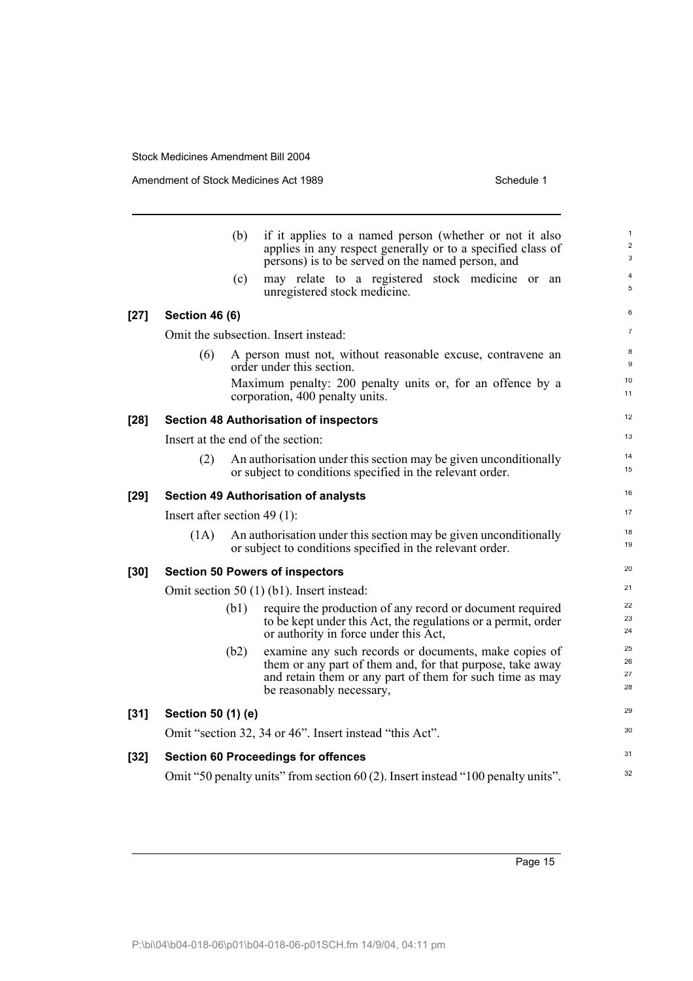[27]

[30]

[31]

Amendment of Stock Medicines Act 1989 Schedule 1

|        |                                 | (b)  | if it applies to a named person (whether or not it also<br>applies in any respect generally or to a specified class of<br>persons) is to be served on the named person, and    | 1<br>$\overline{2}$<br>3 |
|--------|---------------------------------|------|--------------------------------------------------------------------------------------------------------------------------------------------------------------------------------|--------------------------|
|        |                                 | (c)  | may relate to a registered stock medicine or<br>an<br>unregistered stock medicine.                                                                                             | 5                        |
| $[27]$ | <b>Section 46 (6)</b>           |      |                                                                                                                                                                                | 6                        |
|        |                                 |      | Omit the subsection. Insert instead:                                                                                                                                           | $\overline{7}$           |
|        | (6)                             |      | A person must not, without reasonable excuse, contravene an<br>order under this section.                                                                                       | 8<br>9                   |
|        |                                 |      | Maximum penalty: 200 penalty units or, for an offence by a<br>corporation, 400 penalty units.                                                                                  | 10<br>11                 |
| [28]   |                                 |      | <b>Section 48 Authorisation of inspectors</b>                                                                                                                                  | 12                       |
|        |                                 |      | Insert at the end of the section:                                                                                                                                              | 13                       |
|        | (2)                             |      | An authorisation under this section may be given unconditionally                                                                                                               | 14                       |
|        |                                 |      | or subject to conditions specified in the relevant order.                                                                                                                      | 15                       |
| [29]   |                                 |      | <b>Section 49 Authorisation of analysts</b>                                                                                                                                    | 16                       |
|        | Insert after section 49 $(1)$ : |      |                                                                                                                                                                                | 17                       |
|        | (1A)                            |      | An authorisation under this section may be given unconditionally<br>or subject to conditions specified in the relevant order.                                                  | 18<br>19                 |
| [30]   |                                 |      | <b>Section 50 Powers of inspectors</b>                                                                                                                                         | 20                       |
|        |                                 |      | Omit section 50 (1) (b1). Insert instead:                                                                                                                                      | 21                       |
|        |                                 | (b1) | require the production of any record or document required<br>to be kept under this Act, the regulations or a permit, order<br>or authority in force under this Act,            | 22<br>23<br>24           |
|        |                                 | (b2) | examine any such records or documents, make copies of<br>them or any part of them and, for that purpose, take away<br>and retain them or any part of them for such time as may | 25<br>26<br>27<br>28     |
|        |                                 |      | be reasonably necessary,                                                                                                                                                       |                          |
| [31]   | Section 50 (1) (e)              |      |                                                                                                                                                                                | 29                       |
|        |                                 |      | Omit "section 32, 34 or 46". Insert instead "this Act".                                                                                                                        | 30                       |
| [32]   |                                 |      | <b>Section 60 Proceedings for offences</b>                                                                                                                                     | 31                       |
|        |                                 |      | Omit "50 penalty units" from section 60 (2). Insert instead "100 penalty units".                                                                                               | 32                       |
|        |                                 |      |                                                                                                                                                                                |                          |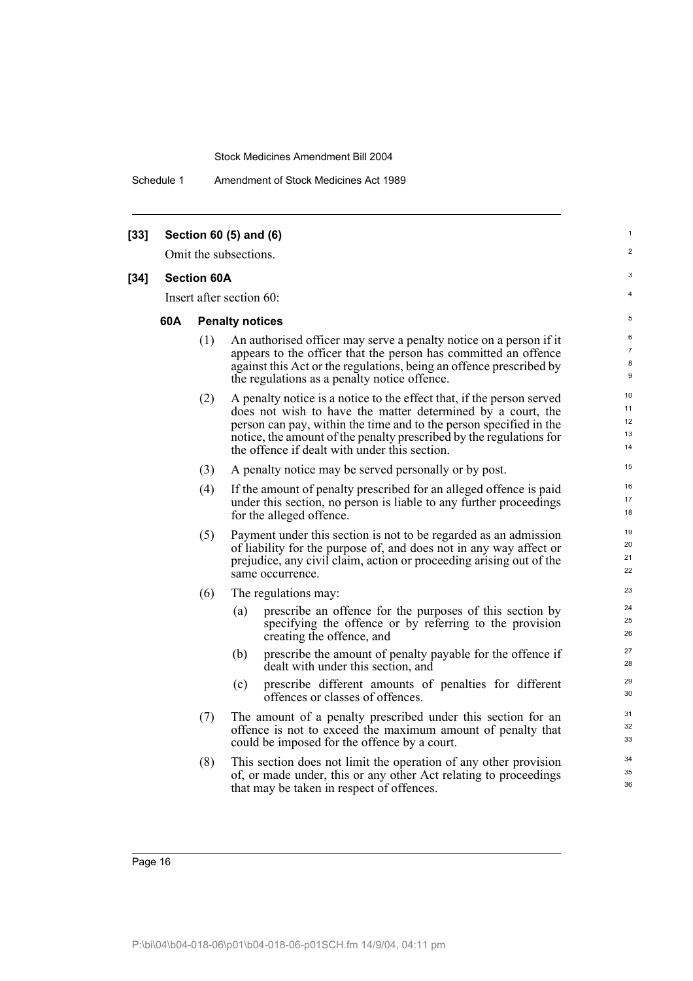Schedule 1 Amendment of Stock Medicines Act 1989

# **[33] Section 60 (5) and (6)**

Omit the subsections.

# **[34] Section 60A**

Insert after section 60:

### **60A Penalty notices**

(1) An authorised officer may serve a penalty notice on a person if it appears to the officer that the person has committed an offence against this Act or the regulations, being an offence prescribed by the regulations as a penalty notice offence.

1  $\overline{2}$ 

- (2) A penalty notice is a notice to the effect that, if the person served does not wish to have the matter determined by a court, the person can pay, within the time and to the person specified in the notice, the amount of the penalty prescribed by the regulations for the offence if dealt with under this section.
- (3) A penalty notice may be served personally or by post.
- (4) If the amount of penalty prescribed for an alleged offence is paid under this section, no person is liable to any further proceedings for the alleged offence.
- (5) Payment under this section is not to be regarded as an admission of liability for the purpose of, and does not in any way affect or prejudice, any civil claim, action or proceeding arising out of the same occurrence.
- (6) The regulations may:
	- (a) prescribe an offence for the purposes of this section by specifying the offence or by referring to the provision creating the offence, and
	- (b) prescribe the amount of penalty payable for the offence if dealt with under this section, and
	- (c) prescribe different amounts of penalties for different offences or classes of offences.
- (7) The amount of a penalty prescribed under this section for an offence is not to exceed the maximum amount of penalty that could be imposed for the offence by a court.
- (8) This section does not limit the operation of any other provision of, or made under, this or any other Act relating to proceedings that may be taken in respect of offences.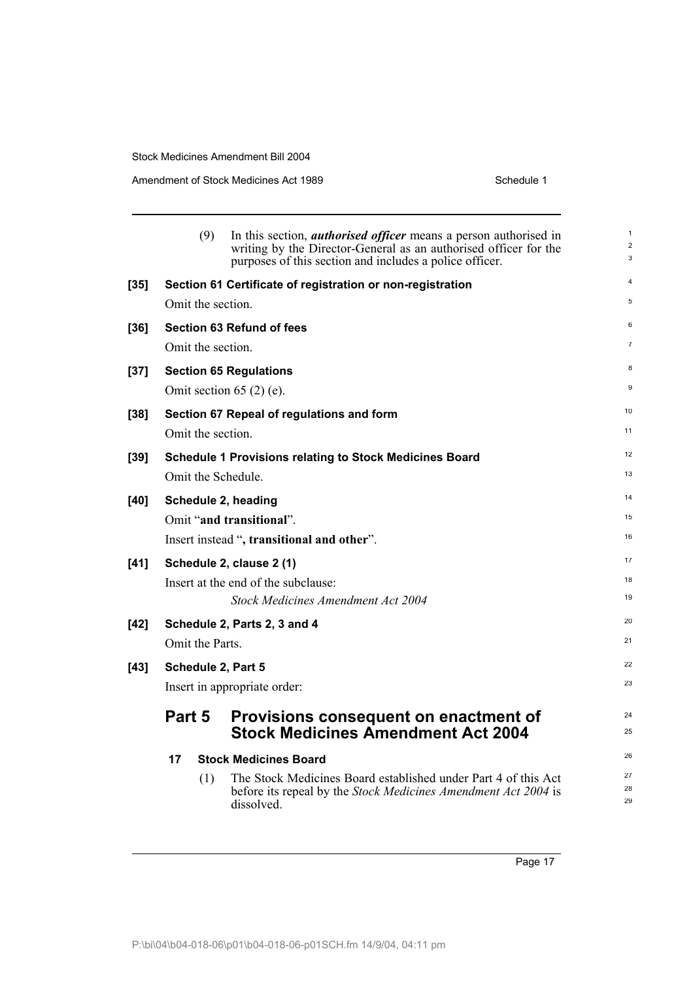|      | (9)               | In this section, <i>authorised officer</i> means a person authorised in<br>writing by the Director-General as an authorised officer for the<br>purposes of this section and includes a police officer. | $\mathbf{1}$<br>$\overline{2}$<br>3 |
|------|-------------------|--------------------------------------------------------------------------------------------------------------------------------------------------------------------------------------------------------|-------------------------------------|
| [35] |                   | Section 61 Certificate of registration or non-registration                                                                                                                                             | 4                                   |
|      | Omit the section. |                                                                                                                                                                                                        | 5                                   |
| [36] |                   | <b>Section 63 Refund of fees</b>                                                                                                                                                                       | 6                                   |
|      | Omit the section. |                                                                                                                                                                                                        | $\overline{7}$                      |
| [37] |                   | <b>Section 65 Regulations</b>                                                                                                                                                                          | 8                                   |
|      |                   | Omit section $65(2)$ (e).                                                                                                                                                                              | 9                                   |
| [38] |                   | Section 67 Repeal of regulations and form                                                                                                                                                              | 10                                  |
|      | Omit the section. |                                                                                                                                                                                                        | 11                                  |
| [39] |                   | <b>Schedule 1 Provisions relating to Stock Medicines Board</b>                                                                                                                                         | 12                                  |
|      |                   | Omit the Schedule.                                                                                                                                                                                     | 13                                  |
| [40] |                   | Schedule 2, heading                                                                                                                                                                                    | 14                                  |
|      |                   | Omit "and transitional".                                                                                                                                                                               | 15                                  |
|      |                   | Insert instead ", transitional and other".                                                                                                                                                             | 16                                  |
| [41] |                   | Schedule 2, clause 2 (1)                                                                                                                                                                               | 17                                  |
|      |                   | Insert at the end of the subclause:                                                                                                                                                                    | 18                                  |
|      |                   | <b>Stock Medicines Amendment Act 2004</b>                                                                                                                                                              | 19                                  |
| [42] |                   | Schedule 2, Parts 2, 3 and 4                                                                                                                                                                           | 20                                  |
|      | Omit the Parts.   |                                                                                                                                                                                                        | 21                                  |
| [43] |                   | Schedule 2, Part 5                                                                                                                                                                                     | 22                                  |
|      |                   | Insert in appropriate order:                                                                                                                                                                           | 23                                  |
|      | Part 5            | Provisions consequent on enactment of                                                                                                                                                                  | 24                                  |
|      |                   | <b>Stock Medicines Amendment Act 2004</b>                                                                                                                                                              | 25                                  |
|      | 17                | <b>Stock Medicines Board</b>                                                                                                                                                                           | 26                                  |
|      | (1)               | The Stock Medicines Board established under Part 4 of this Act                                                                                                                                         | 27                                  |
|      |                   | before its repeal by the Stock Medicines Amendment Act 2004 is<br>dissolved.                                                                                                                           | 28<br>29                            |
|      |                   |                                                                                                                                                                                                        |                                     |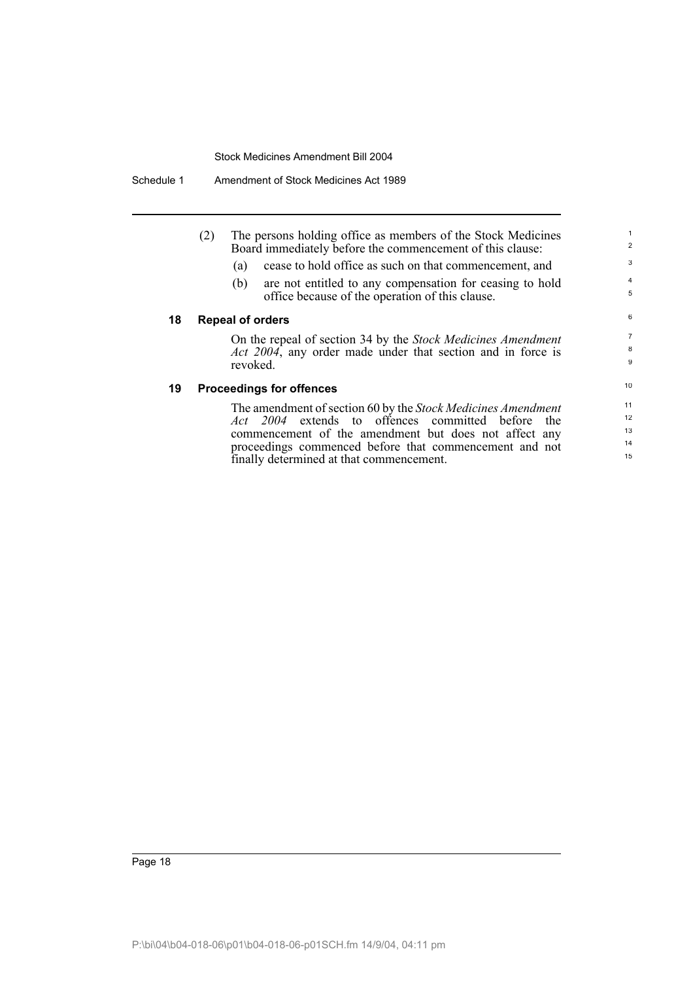Schedule 1 Amendment of Stock Medicines Act 1989

**18 Repeal of orders**

|    | (2)                     | The persons holding office as members of the Stock Medicines<br>Board immediately before the commencement of this clause:               |
|----|-------------------------|-----------------------------------------------------------------------------------------------------------------------------------------|
|    | (a)                     | cease to hold office as such on that commencement, and                                                                                  |
|    | (b)                     | are not entitled to any compensation for ceasing to hold<br>office because of the operation of this clause.                             |
| 18 | <b>Repeal of orders</b> |                                                                                                                                         |
|    |                         | On the repeal of section 34 by the Stock Medicines Amendment<br>Act 2004, any order made under that section and in force is<br>revoked. |
| 19 |                         | <b>Proceedings for offences</b>                                                                                                         |
|    |                         | The amendment of section 60 by the Stock Medicines Amendment<br>Act 2004 extends to offences committed before the                       |

*Act 2004* extends to offences committed before the commencement of the amendment but does not affect any proceedings commenced before that commencement and not finally determined at that commencement.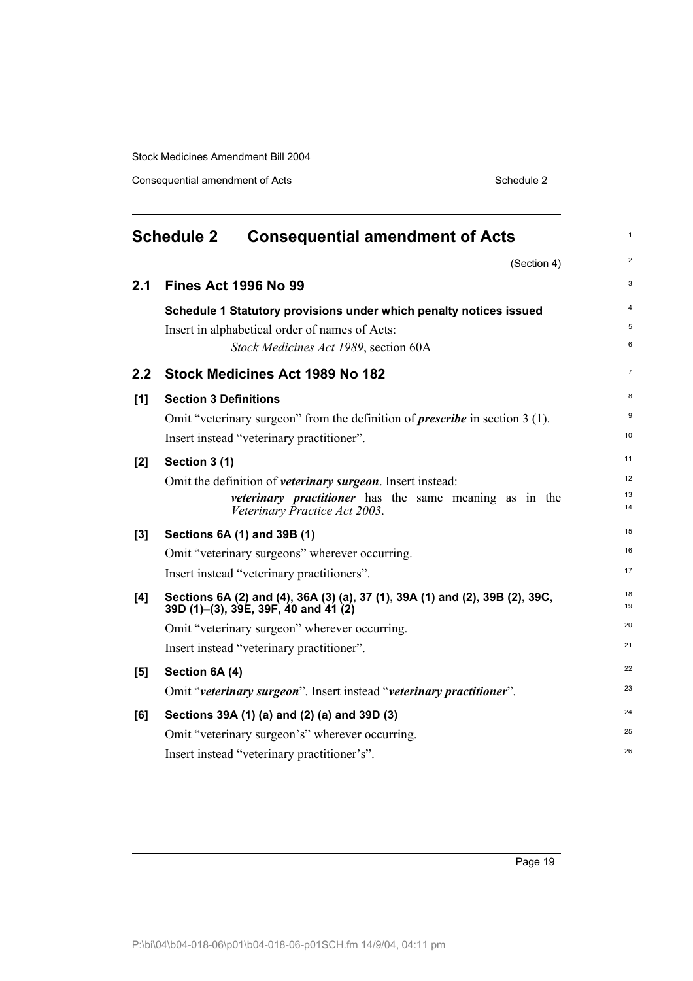Consequential amendment of Acts Schedule 2

<span id="page-26-0"></span>

|       | <b>Schedule 2</b><br><b>Consequential amendment of Acts</b>                                                       | 1              |
|-------|-------------------------------------------------------------------------------------------------------------------|----------------|
|       | (Section 4)                                                                                                       | $\overline{2}$ |
| 2.1   | <b>Fines Act 1996 No 99</b>                                                                                       | 3              |
|       | Schedule 1 Statutory provisions under which penalty notices issued                                                | 4              |
|       | Insert in alphabetical order of names of Acts:                                                                    | 5              |
|       | Stock Medicines Act 1989, section 60A                                                                             | 6              |
| 2.2   | Stock Medicines Act 1989 No 182                                                                                   | $\overline{7}$ |
| [1]   | <b>Section 3 Definitions</b>                                                                                      | 8              |
|       | Omit "veterinary surgeon" from the definition of <i>prescribe</i> in section 3 (1).                               | 9              |
|       | Insert instead "veterinary practitioner".                                                                         | 10             |
| [2]   | Section 3 (1)                                                                                                     | 11             |
|       | Omit the definition of <i>veterinary surgeon</i> . Insert instead:                                                | 12             |
|       | veterinary practitioner has the same meaning as in the<br>Veterinary Practice Act 2003.                           | 13<br>14       |
| $[3]$ | Sections 6A (1) and 39B (1)                                                                                       | 15             |
|       | Omit "veterinary surgeons" wherever occurring.                                                                    | 16             |
|       | Insert instead "veterinary practitioners".                                                                        | 17             |
| [4]   | Sections 6A (2) and (4), 36A (3) (a), 37 (1), 39A (1) and (2), 39B (2), 39C, 39D (1)-(3), 39E, 39F, 40 and 41 (2) | 18<br>19       |
|       | Omit "veterinary surgeon" wherever occurring.                                                                     | 20             |
|       | Insert instead "veterinary practitioner".                                                                         | 21             |
| [5]   | Section 6A (4)                                                                                                    | 22             |
|       | Omit "veterinary surgeon". Insert instead "veterinary practitioner".                                              | 23             |
| [6]   | Sections 39A (1) (a) and (2) (a) and 39D (3)                                                                      | 24             |
|       | Omit "veterinary surgeon's" wherever occurring.                                                                   | 25             |
|       | Insert instead "veterinary practitioner's".                                                                       | 26             |